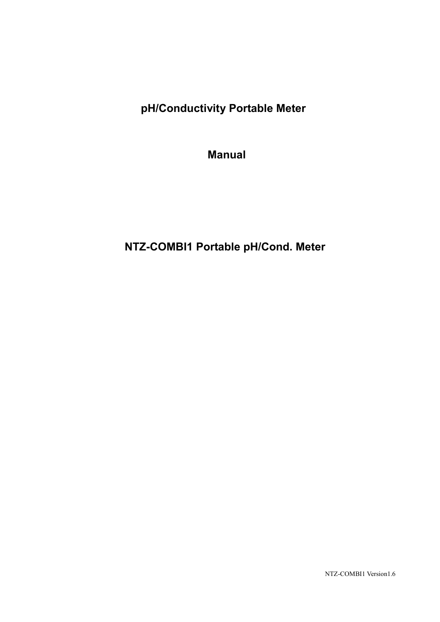**pH/Conductivity Portable Meter**

**Manual** 

# **NTZ-COMBI1 Portable pH/Cond. Meter**

NTZ-COMBI1 Version1.6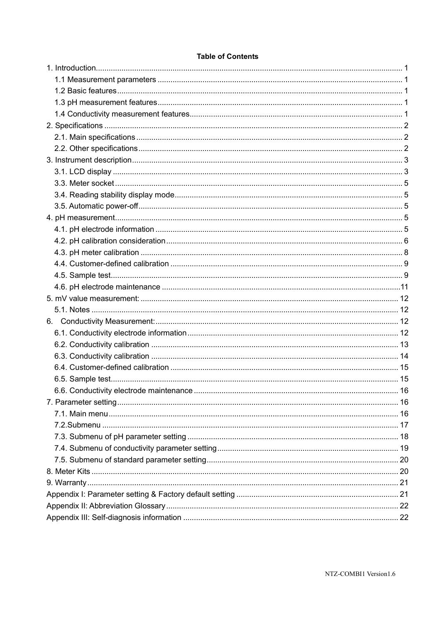|  | <b>Table of Contents</b> |
|--|--------------------------|
|  |                          |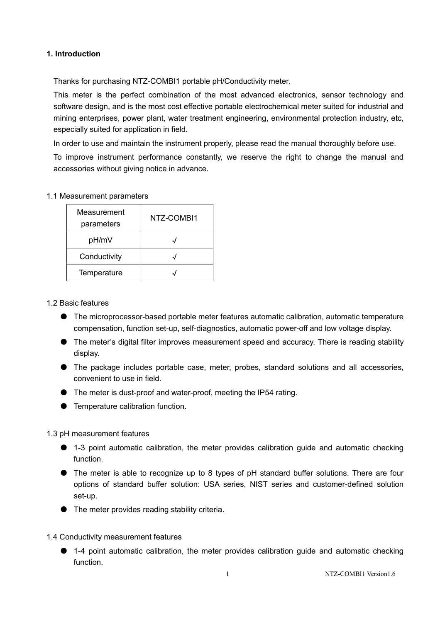#### **1. Introduction**

Thanks for purchasing NTZ-COMBI1 portable pH/Conductivity meter.

This meter is the perfect combination of the most advanced electronics, sensor technology and software design, and is the most cost effective portable electrochemical meter suited for industrial and mining enterprises, power plant, water treatment engineering, environmental protection industry, etc, especially suited for application in field.

In order to use and maintain the instrument properly, please read the manual thoroughly before use.

To improve instrument performance constantly, we reserve the right to change the manual and accessories without giving notice in advance.

#### 1.1 Measurement parameters

| Measurement<br>parameters | NTZ-COMBI1 |
|---------------------------|------------|
| pH/mV                     |            |
| Conductivity              |            |
| Temperature               |            |

#### 1.2 Basic features

- The microprocessor-based portable meter features automatic calibration, automatic temperature compensation, function set-up, self-diagnostics, automatic power-off and low voltage display.
- The meter's digital filter improves measurement speed and accuracy. There is reading stability display.
- The package includes portable case, meter, probes, standard solutions and all accessories, convenient to use in field.
- The meter is dust-proof and water-proof, meeting the IP54 rating.
- Temperature calibration function.

#### 1.3 pH measurement features

- 1-3 point automatic calibration, the meter provides calibration guide and automatic checking function.
- The meter is able to recognize up to 8 types of pH standard buffer solutions. There are four options of standard buffer solution: USA series, NIST series and customer-defined solution set-up.
- The meter provides reading stability criteria.

#### 1.4 Conductivity measurement features

● 1-4 point automatic calibration, the meter provides calibration guide and automatic checking function.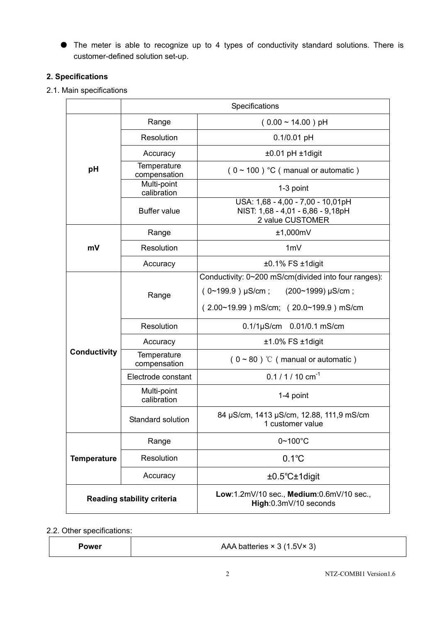● The meter is able to recognize up to 4 types of conductivity standard solutions. There is customer-defined solution set-up.

# **2. Specifications**

#### 2.1. Main specifications

|                                   | Specifications                  |                                                                                            |  |
|-----------------------------------|---------------------------------|--------------------------------------------------------------------------------------------|--|
|                                   | Range<br>$(0.00 \sim 14.00)$ pH |                                                                                            |  |
|                                   | Resolution                      | $0.1/0.01$ pH                                                                              |  |
|                                   | Accuracy                        | $±0.01$ pH $±1$ digit                                                                      |  |
| рH                                | Temperature<br>compensation     | $(0 \sim 100)$ °C (manual or automatic)                                                    |  |
|                                   | Multi-point<br>calibration      | 1-3 point                                                                                  |  |
|                                   | <b>Buffer value</b>             | USA: 1,68 - 4,00 - 7,00 - 10,01pH<br>NIST: 1,68 - 4,01 - 6,86 - 9,18pH<br>2 value CUSTOMER |  |
|                                   | Range                           | ±1,000mV                                                                                   |  |
| mV                                | Resolution                      | 1mV                                                                                        |  |
|                                   | Accuracy                        | $±0.1\%$ FS $±1$ digit                                                                     |  |
|                                   |                                 | Conductivity: 0~200 mS/cm(divided into four ranges):                                       |  |
|                                   | Range                           | $(0~199.9)$ µS/cm; $(200~1999)$ µS/cm;                                                     |  |
|                                   |                                 | $(2.00~19.99)$ mS/cm; $(20.0~199.9)$ mS/cm                                                 |  |
|                                   | Resolution                      | $0.1/1 \mu$ S/cm $0.01/0.1$ mS/cm                                                          |  |
|                                   | Accuracy                        | $±1.0\%$ FS $±1$ digit                                                                     |  |
| <b>Conductivity</b>               | Temperature<br>compensation     | $(0 \sim 80)$ °C (manual or automatic)                                                     |  |
|                                   | Electrode constant              | $0.1 / 1 / 10$ cm <sup>-1</sup>                                                            |  |
|                                   | Multi-point<br>calibration      | 1-4 point                                                                                  |  |
|                                   | Standard solution               | 84 µS/cm, 1413 µS/cm, 12.88, 111,9 mS/cm<br>1 customer value                               |  |
|                                   | Range                           | $0 - 100^{\circ}C$                                                                         |  |
| <b>Temperature</b>                | Resolution                      | $0.1^{\circ}C$                                                                             |  |
|                                   | Accuracy                        | $±0.5^{\circ}$ C $±1$ digit                                                                |  |
| <b>Reading stability criteria</b> |                                 | Low:1.2mV/10 sec., Medium:0.6mV/10 sec.,<br>High: 0.3m V/10 seconds                        |  |

2.2. Other specifications:

**Power a Power Power Power Power Power Power Power Power Power Power Power Power Power Power Power Power Power Power Power Power Power Power Power Power Power Power P**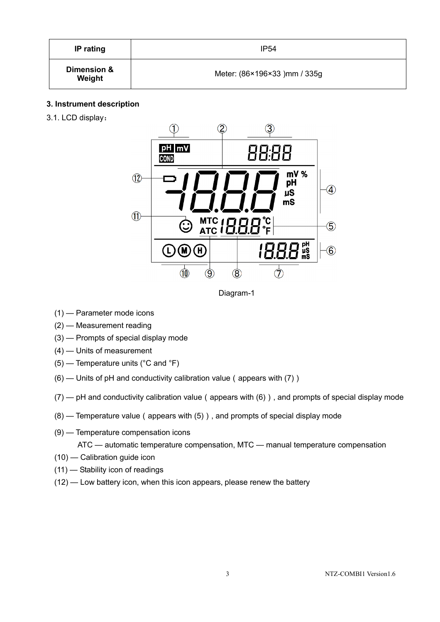| IP rating             | <b>IP54</b>                  |  |
|-----------------------|------------------------------|--|
| Dimension &<br>Weight | Meter: (86×196×33) mm / 335g |  |

#### **3. Instrument description**

3.1. LCD display:



Diagram-1

- (1) Parameter mode icons
- (2) Measurement reading
- (3) Prompts of special display mode
- (4) Units of measurement
- (5) Temperature units (°C and °F)
- $(6)$  Units of pH and conductivity calibration value (appears with  $(7)$ )
- $(7)$   $\rightarrow$  pH and conductivity calibration value (appears with (6)), and prompts of special display mode
- $(8)$  Temperature value (appears with  $(5)$ ), and prompts of special display mode
- (9) Temperature compensation icons

ATC — automatic temperature compensation, MTC — manual temperature compensation

- (10) Calibration guide icon
- (11) Stability icon of readings
- (12) Low battery icon, when this icon appears, please renew the battery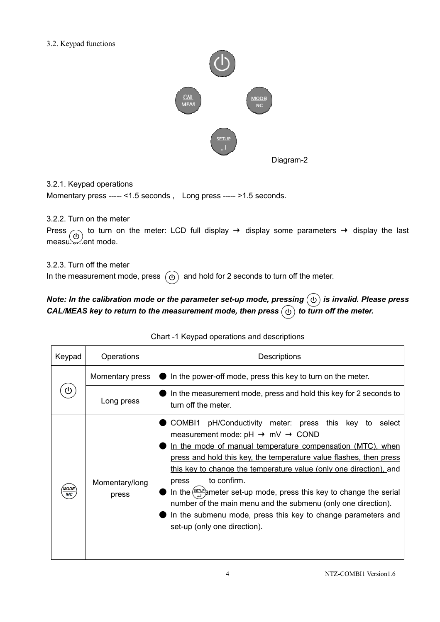#### 3.2. Keypad functions



3.2.1. Keypad operations

Momentary press ----- <1.5 seconds , Long press ----- >1.5 seconds.

3.2.2. Turn on the meter

```
Press \frown to turn on the meter: LCD full display \rightarrow display some parameters \rightarrow display the last
measu. Alent mode.
```
3.2.3. Turn off the meter

In the measurement mode, press  $\left(\overline{\omega}\right)$  and hold for 2 seconds to turn off the meter.

# *Note: In the calibration mode or the parameter set-up mode, pressing*  $(\theta)$  is invalid. Please press *CAL/MEAS key to return to the measurement mode, then press*  $\circledcirc$  *to turn off the meter.*

| Keypad                    | Operations              | Descriptions                                                                                                                                                                                                                                                                                                                                                                                                                                                                                                                                                                                                                            |  |  |
|---------------------------|-------------------------|-----------------------------------------------------------------------------------------------------------------------------------------------------------------------------------------------------------------------------------------------------------------------------------------------------------------------------------------------------------------------------------------------------------------------------------------------------------------------------------------------------------------------------------------------------------------------------------------------------------------------------------------|--|--|
|                           | Momentary press         | In the power-off mode, press this key to turn on the meter.<br>In the measurement mode, press and hold this key for 2 seconds to<br>turn off the meter.                                                                                                                                                                                                                                                                                                                                                                                                                                                                                 |  |  |
| ധ                         | Long press              |                                                                                                                                                                                                                                                                                                                                                                                                                                                                                                                                                                                                                                         |  |  |
| <b>MODE</b><br><b>INC</b> | Momentary/long<br>press | COMB <sub>11</sub><br>pH/Conductivity meter: press this key to<br>select<br>measurement mode: $pH \rightarrow mV \rightarrow COMD$<br>In the mode of manual temperature compensation (MTC), when<br>press and hold this key, the temperature value flashes, then press<br>this key to change the temperature value (only one direction), and<br>to confirm.<br>press<br>In the $\frac{\text{SETUP}}{\text{A}}$ ameter set-up mode, press this key to change the serial<br>number of the main menu and the submenu (only one direction).<br>In the submenu mode, press this key to change parameters and<br>set-up (only one direction). |  |  |

|  |  |  | Chart-1 Keypad operations and descriptions |
|--|--|--|--------------------------------------------|
|--|--|--|--------------------------------------------|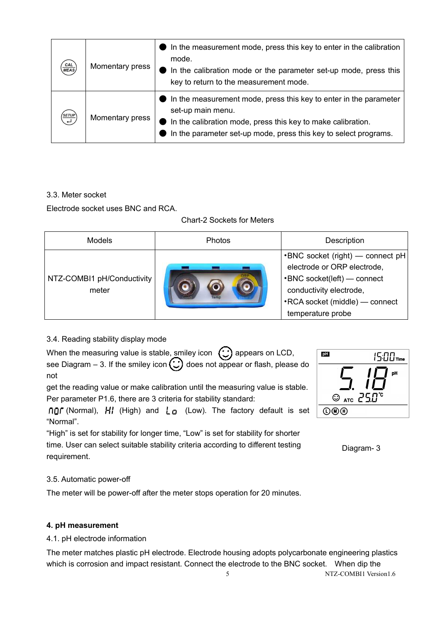| CAL<br><b>MEAS</b> | Momentary press | $\blacksquare$ In the measurement mode, press this key to enter in the calibration<br>mode.<br>In the calibration mode or the parameter set-up mode, press this<br>key to return to the measurement mode.                            |
|--------------------|-----------------|--------------------------------------------------------------------------------------------------------------------------------------------------------------------------------------------------------------------------------------|
|                    | Momentary press | In the measurement mode, press this key to enter in the parameter<br>set-up main menu.<br>$\bullet$ In the calibration mode, press this key to make calibration.<br>In the parameter set-up mode, press this key to select programs. |

#### 3.3. Meter socket

Electrode socket uses BNC and RCA.

#### Chart-2 Sockets for Meters

| <b>Models</b>                       | <b>Photos</b> | Description                                                                                                                                                                             |
|-------------------------------------|---------------|-----------------------------------------------------------------------------------------------------------------------------------------------------------------------------------------|
| NTZ-COMBI1 pH/Conductivity<br>meter |               | $\cdot$ BNC socket (right) — connect pH<br>electrode or ORP electrode,<br>•BNC socket(left) — connect<br>conductivity electrode,<br>•RCA socket (middle) — connect<br>temperature probe |

# 3.4. Reading stability display mode

| When the measuring value is stable, smiley icon $\bigcirc$ appears on LCD,         |  |
|------------------------------------------------------------------------------------|--|
| see Diagram - 3. If the smiley icon $\bigodot$ does not appear or flash, please do |  |
| not                                                                                |  |

get the reading value or make calibration until the measuring value is stable. Per parameter P1.6, there are 3 criteria for stability standard:

**ngr** (Normal), HI (High) and  $\mathbf{L}_0$  (Low). The factory default is set "Normal".

"High" is set for stability for longer time, "Low" is set for stability for shorter time. User can select suitable stability criteria according to different testing requirement.

| <b>pH</b> | $15:00$ Time                        |
|-----------|-------------------------------------|
|           | pH                                  |
|           |                                     |
|           | $\odot$ ATC $\geq$ 5.0 <sup>°</sup> |
| 回∭        |                                     |

Diagram- 3

#### 3.5. Automatic power-off

The meter will be power-off after the meter stops operation for 20 minutes.

#### **4. pH measurement**

#### 4.1. pH electrode information

5 NTZ-COMBI1 Version1.6 The meter matches plastic pH electrode. Electrode housing adopts polycarbonate engineering plastics which is corrosion and impact resistant. Connect the electrode to the BNC socket. When dip the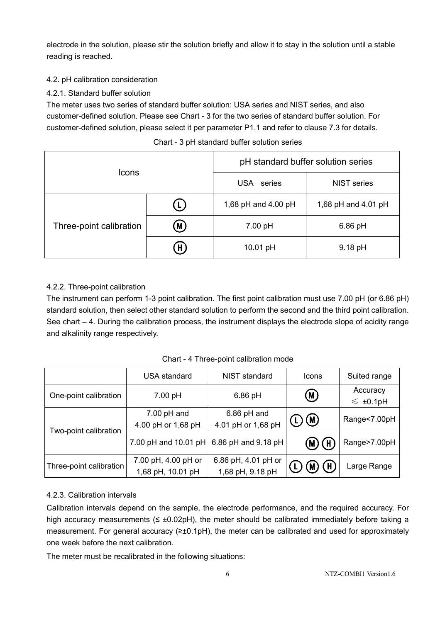electrode in the solution, please stir the solution briefly and allow it to stay in the solution until a stable reading is reached.

#### 4.2. pH calibration consideration

#### 4.2.1. Standard buffer solution

The meter uses two series of standard buffer solution: USA series and NIST series, and also customer-defined solution. Please see Chart - 3 for the two series of standard buffer solution. For customer-defined solution, please select it per parameter P1.1 and refer to clause 7.3 for details.

| <b>Icons</b>            |                   | pH standard buffer solution series |                     |
|-------------------------|-------------------|------------------------------------|---------------------|
|                         |                   | USA series                         | <b>NIST</b> series  |
| Three-point calibration | L)                | 1,68 pH and 4.00 pH                | 1,68 pH and 4.01 pH |
|                         | (M)               | 7.00 pH                            | $6.86$ pH           |
|                         | $\left( H\right)$ | 10.01 pH                           | 9.18 pH             |

#### Chart - 3 pH standard buffer solution series

# 4.2.2. Three-point calibration

The instrument can perform 1-3 point calibration. The first point calibration must use 7.00 pH (or 6.86 pH) standard solution, then select other standard solution to perform the second and the third point calibration. See chart – 4. During the calibration process, the instrument displays the electrode slope of acidity range and alkalinity range respectively.

|                         | <b>USA</b> standard                      | NIST standard                           | <b>Icons</b>       | Suited range              |
|-------------------------|------------------------------------------|-----------------------------------------|--------------------|---------------------------|
| One-point calibration   | 7.00 pH                                  | $6.86$ pH                               | (M)                | Accuracy<br>$\leq$ ±0.1pH |
|                         | $7.00$ pH and<br>4.00 pH or 1,68 pH      | 6.86 pH and<br>4.01 pH or 1,68 pH       | (D(M))             | Range<7.00pH              |
| Two-point calibration   | 7.00 pH and 10.01 pH                     | 6.86 pH and 9.18 pH                     | $\mathbf H$ .<br>M | Range>7.00pH              |
| Three-point calibration | 7.00 pH, 4.00 pH or<br>1,68 pH, 10.01 pH | 6.86 pH, 4.01 pH or<br>1,68 pH, 9.18 pH | (H)<br>M,          | Large Range               |

Chart - 4 Three-point calibration mode

#### 4.2.3. Calibration intervals

Calibration intervals depend on the sample, the electrode performance, and the required accuracy. For high accuracy measurements ( $\leq \pm 0.02$ pH), the meter should be calibrated immediately before taking a measurement. For general accuracy (≥±0.1pH), the meter can be calibrated and used for approximately one week before the next calibration.

The meter must be recalibrated in the following situations: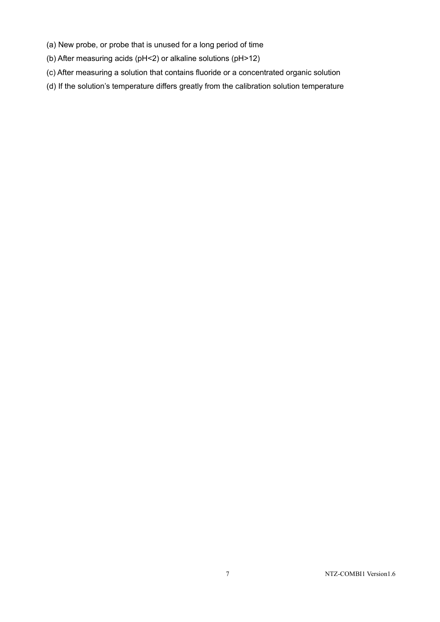- (a) New probe, or probe that is unused for a long period of time
- (b) After measuring acids (pH<2) or alkaline solutions (pH>12)
- (c) After measuring a solution that contains fluoride or a concentrated organic solution
- (d) If the solution's temperature differs greatly from the calibration solution temperature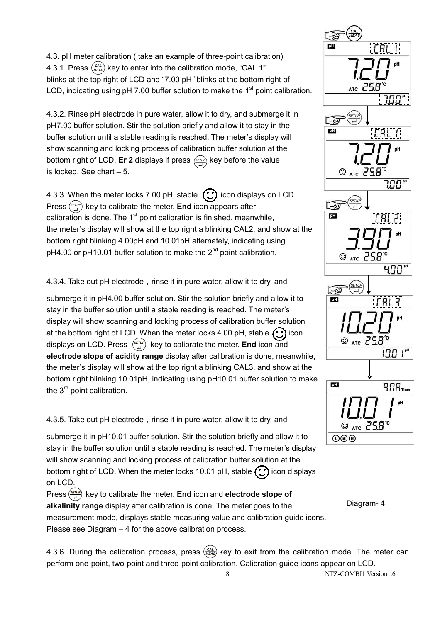4.3. pH meter calibration ( take an example of three-point calibration) 4.3.1. Press  $\frac{(CAL)}{MEAS}$  key to enter into the calibration mode, "CAL 1" blinks at the top right of LCD and "7.00 pH "blinks at the bottom right of LCD, indicating using  $pH$  7.00 buffer solution to make the 1<sup>st</sup> point calibration.

4.3.2. Rinse pH electrode in pure water, allow it to dry, and submerge it in pH7.00 buffer solution. Stir the solution briefly and allow it to stay in the buffer solution until a stable reading is reached. The meter's display will show scanning and locking process of calibration buffer solution at the bottom right of LCD. **Er 2** displays if press  $\frac{\text{SETUP}}{\text{SETUP}}$  key before the value is locked. See chart – 5.

4.3.3. When the meter locks 7.00 pH, stable  $\bigodot$  icon displays on LCD. Press  $\frac{\sqrt{8\pi r r}}{r}$  key to calibrate the meter. **End** icon appears after calibration is done. The  $1<sup>st</sup>$  point calibration is finished, meanwhile, the meter's display will show at the top right a blinking CAL2, and show at the bottom right blinking 4.00pH and 10.01pH alternately, indicating using  $pH4.00$  or  $pH10.01$  buffer solution to make the  $2<sup>nd</sup>$  point calibration.

4.3.4. Take out pH electrode, rinse it in pure water, allow it to dry, and

submerge it in pH4.00 buffer solution. Stir the solution briefly and allow it to stay in the buffer solution until a stable reading is reached. The meter's display will show scanning and locking process of calibration buffer solution at the bottom right of LCD. When the meter locks 4.00 pH, stable  $\odot$  icon displays on LCD. Press key to calibrate the meter. **End** icon and **electrode slope of acidity range** display after calibration is done, meanwhile, the meter's display will show at the top right a blinking CAL3, and show at the bottom right blinking 10.01pH, indicating using pH10.01 buffer solution to make the 3<sup>rd</sup> point calibration.

4.3.5. Take out pH electrode, rinse it in pure water, allow it to dry, and

submerge it in pH10.01 buffer solution. Stir the solution briefly and allow it to stay in the buffer solution until a stable reading is reached. The meter's display will show scanning and locking process of calibration buffer solution at the bottom right of LCD. When the meter locks 10.01 pH, stable  $\binom{n}{k}$  icon displays on LCD. Press  $\frac{\text{SETUP}}{\text{L}}$  key to calibrate the meter. **End** icon and **electrode slope of** 

**alkalinity range** display after calibration is done. The meter goes to the measurement mode, displays stable measuring value and calibration guide icons. Please see Diagram – 4 for the above calibration process.

4.3.6. During the calibration process, press  $\frac{Cat}{MES}$  key to exit from the calibration mode. The meter can perform one-point, two-point and three-point calibration. Calibration guide icons appear on LCD.



Diagram- 4

8 NTZ-COMBI1 Version1.6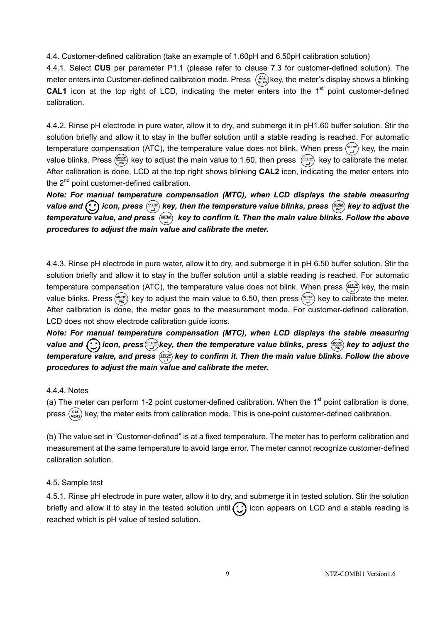4.4. Customer-defined calibration (take an example of 1.60pH and 6.50pH calibration solution)

4.4.1. Select **CUS** per parameter P1.1 (please refer to clause 7.3 for customer-defined solution). The meter enters into Customer-defined calibration mode. Press  $\frac{(CAL)}{MEAS}$  key, the meter's display shows a blinking **CAL1** icon at the top right of LCD, indicating the meter enters into the  $1<sup>st</sup>$  point customer-defined calibration.

4.4.2. Rinse pH electrode in pure water, allow it to dry, and submerge it in pH1.60 buffer solution. Stir the solution briefly and allow it to stay in the buffer solution until a stable reading is reached. For automatic temperature compensation (ATC), the temperature value does not blink. When press  $\frac{F(x)}{r}$  key, the main value blinks. Press  $\frac{WOOE}{WCO}$  key to adjust the main value to 1.60, then press  $\frac{\sqrt{SEDP}}{\sqrt{D}}$  key to calibrate the meter. After calibration is done, LCD at the top right shows blinking **CAL2** icon, indicating the meter enters into the 2<sup>nd</sup> point customer-defined calibration.

*Note: For manual temperature compensation (MTC), when LCD displays the stable measuring*  value and  $\bigodot$  icon, press  $\frac{\sqrt{g_{FU}}}{\sqrt{g}}$  key, then the temperature value blinks, press  $\frac{\sqrt{g_{ODE}}}{\sqrt{g_{C}}}$  key to adjust the *temperature value, and press key to confirm it. Then the main value blinks. Follow the above procedures to adjust the main value and calibrate the meter.* 

4.4.3. Rinse pH electrode in pure water, allow it to dry, and submerge it in pH 6.50 buffer solution. Stir the solution briefly and allow it to stay in the buffer solution until a stable reading is reached. For automatic temperature compensation (ATC), the temperature value does not blink. When press  $\frac{\sqrt{f(t/a)}}{\sqrt{f(t/a)}}$  key, the main value blinks. Press (MODE) key to adjust the main value to 6.50, then press ( $\frac{\text{SEUIP}}{\text{H}}$ ) key to calibrate the meter. After calibration is done, the meter goes to the measurement mode. For customer-defined calibration, LCD does not show electrode calibration guide icons.

*Note: For manual temperature compensation (MTC), when LCD displays the stable measuring*  value and  $\bigodot$  icon, press  $\frac{\text{SETUP}}{\text{GET}}$  key, then the temperature value blinks, press  $\frac{\text{MODE}}{\text{MDC}}$  key to adjust the *temperature value, and press key to confirm it. Then the main value blinks. Follow the above procedures to adjust the main value and calibrate the meter.* 

#### 4.4.4. Notes

(a) The meter can perform 1-2 point customer-defined calibration. When the  $1<sup>st</sup>$  point calibration is done, press  $\frac{Cat}{MELAS}$  key, the meter exits from calibration mode. This is one-point customer-defined calibration.

(b) The value set in "Customer-defined" is at a fixed temperature. The meter has to perform calibration and measurement at the same temperature to avoid large error. The meter cannot recognize customer-defined calibration solution.

#### 4.5. Sample test

4.5.1. Rinse pH electrode in pure water, allow it to dry, and submerge it in tested solution. Stir the solution briefly and allow it to stay in the tested solution until  $\bigodot$  icon appears on LCD and a stable reading is reached which is pH value of tested solution.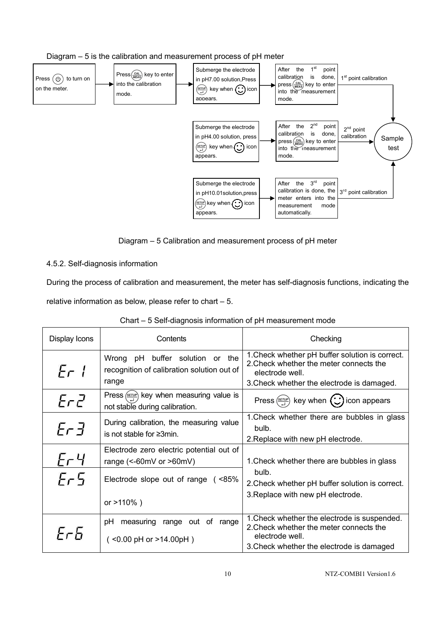

Diagram – 5 Calibration and measurement process of pH meter

# 4.5.2. Self-diagnosis information

During the process of calibration and measurement, the meter has self-diagnosis functions, indicating the relative information as below, please refer to chart – 5.

| Display Icons    | Contents                                                                                     | Checking                                                                                                                                                    |
|------------------|----------------------------------------------------------------------------------------------|-------------------------------------------------------------------------------------------------------------------------------------------------------------|
| Er1              | Wrong pH<br>buffer solution or the<br>recognition of calibration solution out of<br>range    | 1. Check whether pH buffer solution is correct.<br>2. Check whether the meter connects the<br>electrode well.<br>3. Check whether the electrode is damaged. |
| ErZ              | Press $\frac{\text{SETUP}}{P}$ key when measuring value is<br>not stable during calibration. | Press $\left(\frac{\text{SET UP}}{2}\right)$ key when $\left(\bigcup_{n=1}^{\infty}\right)$ icon appears                                                    |
| $E \cap \exists$ | During calibration, the measuring value<br>is not stable for $\geq 3$ min.                   | 1. Check whether there are bubbles in glass<br>bulb.<br>2. Replace with new pH electrode.                                                                   |
| ЕгЧ              | Electrode zero electric potential out of<br>range $(<$ -60mV or $>$ 60mV)                    | 1. Check whether there are bubbles in glass                                                                                                                 |
| $E-5$            | Electrode slope out of range (<85%<br>or $>110\%$ )                                          | bulb.<br>2. Check whether pH buffer solution is correct.<br>3. Replace with new pH electrode.                                                               |
|                  |                                                                                              |                                                                                                                                                             |
| FrF              | measuring range out of<br>рH<br>range<br>$($ <0.00 pH or >14.00pH $)$                        | 1. Check whether the electrode is suspended.<br>2. Check whether the meter connects the<br>electrode well.<br>3. Check whether the electrode is damaged     |

Chart – 5 Self-diagnosis information of pH measurement mode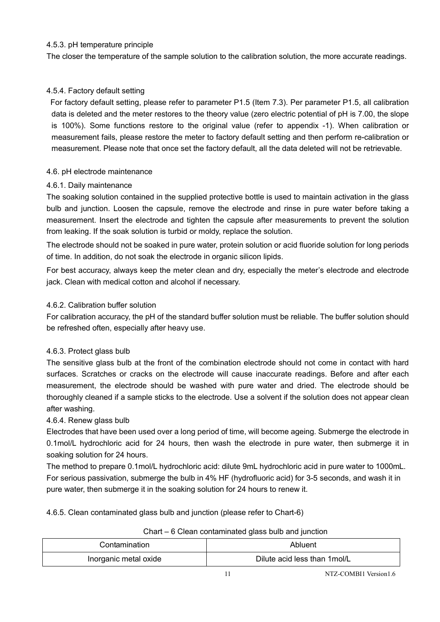#### 4.5.3. pH temperature principle

The closer the temperature of the sample solution to the calibration solution, the more accurate readings.

#### 4.5.4. Factory default setting

For factory default setting, please refer to parameter P1.5 (Item 7.3). Per parameter P1.5, all calibration data is deleted and the meter restores to the theory value (zero electric potential of pH is 7.00, the slope is 100%). Some functions restore to the original value (refer to appendix -1). When calibration or measurement fails, please restore the meter to factory default setting and then perform re-calibration or measurement. Please note that once set the factory default, all the data deleted will not be retrievable.

#### 4.6. pH electrode maintenance

#### 4.6.1. Daily maintenance

The soaking solution contained in the supplied protective bottle is used to maintain activation in the glass bulb and junction. Loosen the capsule, remove the electrode and rinse in pure water before taking a measurement. Insert the electrode and tighten the capsule after measurements to prevent the solution from leaking. If the soak solution is turbid or moldy, replace the solution.

The electrode should not be soaked in pure water, protein solution or acid fluoride solution for long periods of time. In addition, do not soak the electrode in organic silicon lipids.

For best accuracy, always keep the meter clean and dry, especially the meter's electrode and electrode jack. Clean with medical cotton and alcohol if necessary.

#### 4.6.2. Calibration buffer solution

For calibration accuracy, the pH of the standard buffer solution must be reliable. The buffer solution should be refreshed often, especially after heavy use.

#### 4.6.3. Protect glass bulb

The sensitive glass bulb at the front of the combination electrode should not come in contact with hard surfaces. Scratches or cracks on the electrode will cause inaccurate readings. Before and after each measurement, the electrode should be washed with pure water and dried. The electrode should be thoroughly cleaned if a sample sticks to the electrode. Use a solvent if the solution does not appear clean after washing.

#### 4.6.4. Renew glass bulb

Electrodes that have been used over a long period of time, will become ageing. Submerge the electrode in 0.1mol/L hydrochloric acid for 24 hours, then wash the electrode in pure water, then submerge it in soaking solution for 24 hours.

The method to prepare 0.1mol/L hydrochloric acid: dilute 9mL hydrochloric acid in pure water to 1000mL. For serious passivation, submerge the bulb in 4% HF (hydrofluoric acid) for 3-5 seconds, and wash it in pure water, then submerge it in the soaking solution for 24 hours to renew it.

4.6.5. Clean contaminated glass bulb and junction (please refer to Chart-6)

| Contamination         | Abluent                       |
|-----------------------|-------------------------------|
| Inorganic metal oxide | Dilute acid less than 1 mol/L |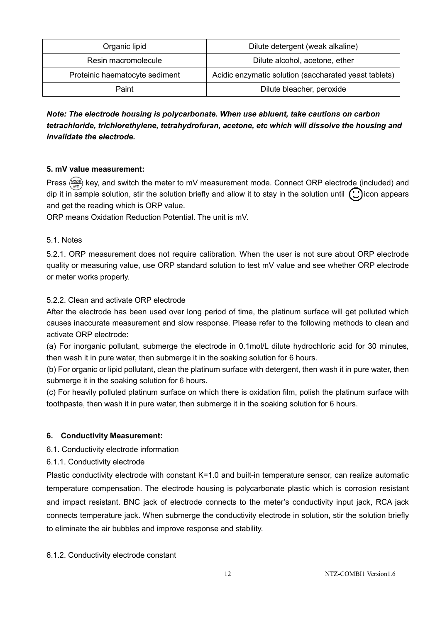| Organic lipid                  | Dilute detergent (weak alkaline)                      |
|--------------------------------|-------------------------------------------------------|
| Resin macromolecule            | Dilute alcohol, acetone, ether                        |
| Proteinic haematocyte sediment | Acidic enzymatic solution (saccharated yeast tablets) |
| Paint                          | Dilute bleacher, peroxide                             |

# *Note: The electrode housing is polycarbonate. When use abluent, take cautions on carbon tetrachloride, trichlorethylene, tetrahydrofuran, acetone, etc which will dissolve the housing and invalidate the electrode.*

#### **5. mV value measurement:**

Press  $\frac{MODE}{MC}$  key, and switch the meter to mV measurement mode. Connect ORP electrode (included) and dip it in sample solution, stir the solution briefly and allow it to stay in the solution until  $\odot$  icon appears and get the reading which is ORP value.

ORP means Oxidation Reduction Potential. The unit is mV.

#### 5.1. Notes

5.2.1. ORP measurement does not require calibration. When the user is not sure about ORP electrode quality or measuring value, use ORP standard solution to test mV value and see whether ORP electrode or meter works properly.

#### 5.2.2. Clean and activate ORP electrode

After the electrode has been used over long period of time, the platinum surface will get polluted which causes inaccurate measurement and slow response. Please refer to the following methods to clean and activate ORP electrode:

(a) For inorganic pollutant, submerge the electrode in 0.1mol/L dilute hydrochloric acid for 30 minutes, then wash it in pure water, then submerge it in the soaking solution for 6 hours.

(b) For organic or lipid pollutant, clean the platinum surface with detergent, then wash it in pure water, then submerge it in the soaking solution for 6 hours.

(c) For heavily polluted platinum surface on which there is oxidation film, polish the platinum surface with toothpaste, then wash it in pure water, then submerge it in the soaking solution for 6 hours.

#### **6. Conductivity Measurement:**

6.1. Conductivity electrode information

6.1.1. Conductivity electrode

Plastic conductivity electrode with constant K=1.0 and built-in temperature sensor, can realize automatic temperature compensation. The electrode housing is polycarbonate plastic which is corrosion resistant and impact resistant. BNC jack of electrode connects to the meter's conductivity input jack, RCA jack connects temperature jack. When submerge the conductivity electrode in solution, stir the solution briefly to eliminate the air bubbles and improve response and stability.

#### 6.1.2. Conductivity electrode constant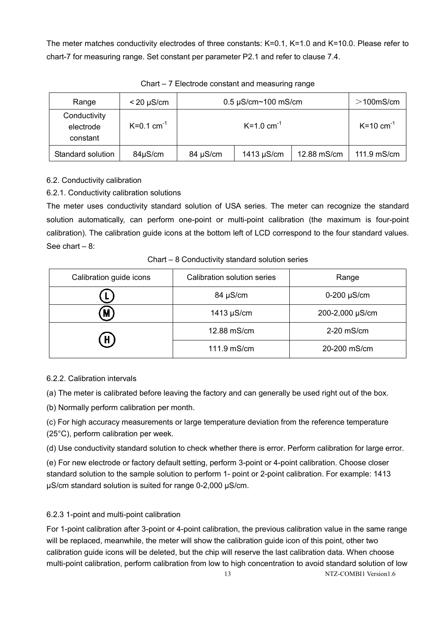The meter matches conductivity electrodes of three constants: K=0.1, K=1.0 and K=10.0. Please refer to chart-7 for measuring range. Set constant per parameter P2.1 and refer to clause 7.4.

| Range                                 | $< 20 \mu S/cm$          |          | $0.5 \mu$ S/cm~100 mS/cm   |             | $>$ 100mS/cm              |
|---------------------------------------|--------------------------|----------|----------------------------|-------------|---------------------------|
| Conductivity<br>electrode<br>constant | $K=0.1$ cm <sup>-1</sup> |          | $K = 1.0$ cm <sup>-1</sup> |             | $K = 10$ cm <sup>-1</sup> |
| Standard solution                     | 84µS/cm                  | 84 µS/cm | $1413 \mu$ S/cm            | 12.88 mS/cm | 111.9 mS/cm               |

Chart – 7 Electrode constant and measuring range

6.2. Conductivity calibration

6.2.1. Conductivity calibration solutions

The meter uses conductivity standard solution of USA series. The meter can recognize the standard solution automatically, can perform one-point or multi-point calibration (the maximum is four-point calibration). The calibration guide icons at the bottom left of LCD correspond to the four standard values. See chart  $-8$ :

Chart – 8 Conductivity standard solution series

| Calibration guide icons | Calibration solution series | Range              |  |
|-------------------------|-----------------------------|--------------------|--|
|                         | 84 µS/cm                    | $0-200$ $\mu$ S/cm |  |
| M)                      | 1413 $\mu$ S/cm             | 200-2,000 µS/cm    |  |
| H)                      | 12.88 mS/cm                 | 2-20 mS/cm         |  |
|                         | 111.9 mS/cm                 | 20-200 mS/cm       |  |

#### 6.2.2. Calibration intervals

(a) The meter is calibrated before leaving the factory and can generally be used right out of the box.

(b) Normally perform calibration per month.

(c) For high accuracy measurements or large temperature deviation from the reference temperature (25°C), perform calibration per week.

(d) Use conductivity standard solution to check whether there is error. Perform calibration for large error.

(e) For new electrode or factory default setting, perform 3-point or 4-point calibration. Choose closer standard solution to the sample solution to perform 1- point or 2-point calibration. For example: 1413 µS/cm standard solution is suited for range 0-2,000 µS/cm.

# 6.2.3 1-point and multi-point calibration

For 1-point calibration after 3-point or 4-point calibration, the previous calibration value in the same range will be replaced, meanwhile, the meter will show the calibration guide icon of this point, other two calibration guide icons will be deleted, but the chip will reserve the last calibration data. When choose multi-point calibration, perform calibration from low to high concentration to avoid standard solution of low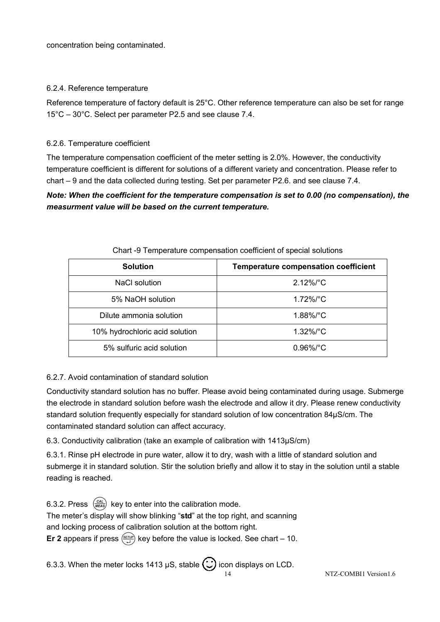concentration being contaminated.

#### 6.2.4. Reference temperature

Reference temperature of factory default is 25°C. Other reference temperature can also be set for range 15°C – 30°C. Select per parameter P2.5 and see clause 7.4.

#### 6.2.6. Temperature coefficient

The temperature compensation coefficient of the meter setting is 2.0%. However, the conductivity temperature coefficient is different for solutions of a different variety and concentration. Please refer to chart – 9 and the data collected during testing. Set per parameter P2.6. and see clause 7.4.

# *Note: When the coefficient for the temperature compensation is set to 0.00 (no compensation), the measurment value will be based on the current temperature.*

| <b>Solution</b>                | <b>Temperature compensation coefficient</b> |
|--------------------------------|---------------------------------------------|
| <b>NaCl solution</b>           | $2.12\%$ /°C                                |
| 5% NaOH solution               | $1.72\%/°C$                                 |
| Dilute ammonia solution        | $1.88\%$ $^{\circ}$ C                       |
| 10% hydrochloric acid solution | $1.32\%$ $^{\circ}$ C                       |
| 5% sulfuric acid solution      | $0.96\%$ /°C                                |

#### Chart -9 Temperature compensation coefficient of special solutions

#### 6.2.7. Avoid contamination of standard solution

Conductivity standard solution has no buffer. Please avoid being contaminated during usage. Submerge the electrode in standard solution before wash the electrode and allow it dry. Please renew conductivity standard solution frequently especially for standard solution of low concentration 84µS/cm. The contaminated standard solution can affect accuracy.

6.3. Conductivity calibration (take an example of calibration with 1413µS/cm)

6.3.1. Rinse pH electrode in pure water, allow it to dry, wash with a little of standard solution and submerge it in standard solution. Stir the solution briefly and allow it to stay in the solution until a stable reading is reached.

6.3.2. Press  $\binom{Cal}{MEAS}$  key to enter into the calibration mode. The meter's display will show blinking "**std**" at the top right, and scanning and locking process of calibration solution at the bottom right. **Er 2** appears if press  $\frac{\sqrt{g_{\text{FUV}}}}{\sqrt{g}}$  key before the value is locked. See chart – 10.

6.3.3. When the meter locks 1413  $\mu$ S, stable  $\bigodot$  icon displays on LCD.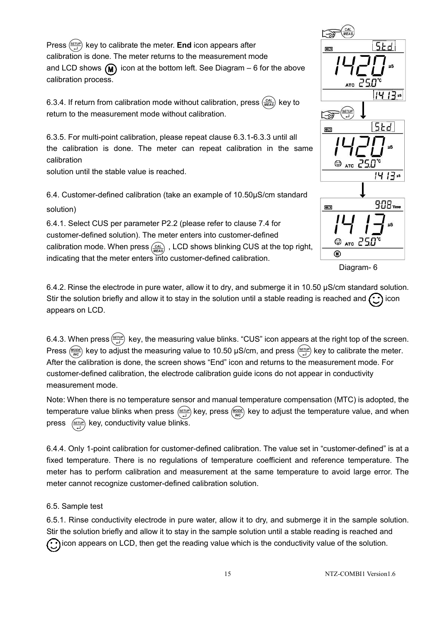Press  $\frac{\sqrt{gen}}{)}$  key to calibrate the meter. **End** icon appears after calibration is done. The meter returns to the measurement mode and LCD shows  $(M)$  icon at the bottom left. See Diagram – 6 for the above calibration process.

6.3.4. If return from calibration mode without calibration, press  $\frac{(CAL)}{MEAS}$  key to return to the measurement mode without calibration.

6.3.5. For multi-point calibration, please repeat clause 6.3.1-6.3.3 until all the calibration is done. The meter can repeat calibration in the same calibration

solution until the stable value is reached.

6.4. Customer-defined calibration (take an example of 10.50µS/cm standard solution)

6.4.1. Select CUS per parameter P2.2 (please refer to clause 7.4 for customer-defined solution). The meter enters into customer-defined calibration mode. When press  $\frac{CAL}{MEAS}$ , LCD shows blinking CUS at the top right, indicating that the meter enters into customer-defined calibration.



Diagram- 6

6.4.2. Rinse the electrode in pure water, allow it to dry, and submerge it in 10.50 µS/cm standard solution. Stir the solution briefly and allow it to stay in the solution until a stable reading is reached and  $\odot$  icon appears on LCD.

6.4.3. When press  $\frac{F(EFLP)}{H}$  key, the measuring value blinks. "CUS" icon appears at the right top of the screen. Press (MODE) key to adjust the measuring value to 10.50  $\mu$ S/cm, and press  $\frac{\text{SETUP}}{\mu}$  key to calibrate the meter. After the calibration is done, the screen shows "End" icon and returns to the measurement mode. For customer-defined calibration, the electrode calibration guide icons do not appear in conductivity measurement mode.

Note: When there is no temperature sensor and manual temperature compensation (MTC) is adopted, the temperature value blinks when press  $\frac{f(x)}{x+1}$  key, press  $\frac{(MCO)E}{x}$  key to adjust the temperature value, and when press  $\frac{\sqrt{serv}}{\sqrt{ - 1}}$  key, conductivity value blinks.

6.4.4. Only 1-point calibration for customer-defined calibration. The value set in "customer-defined" is at a fixed temperature. There is no regulations of temperature coefficient and reference temperature. The meter has to perform calibration and measurement at the same temperature to avoid large error. The meter cannot recognize customer-defined calibration solution.

#### 6.5. Sample test

6.5.1. Rinse conductivity electrode in pure water, allow it to dry, and submerge it in the sample solution. Stir the solution briefly and allow it to stay in the sample solution until a stable reading is reached and  $\odot$  icon appears on LCD, then get the reading value which is the conductivity value of the solution.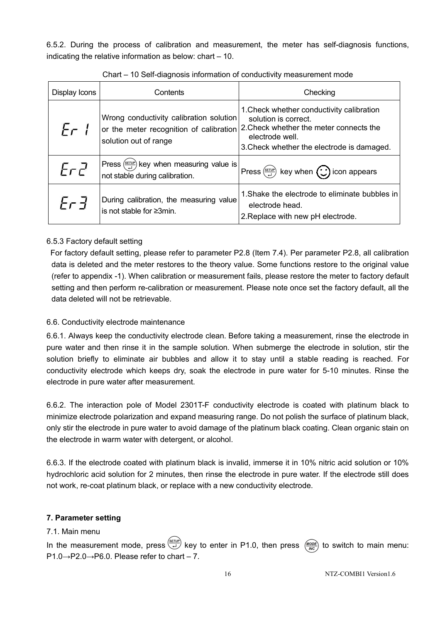6.5.2. During the process of calibration and measurement, the meter has self-diagnosis functions, indicating the relative information as below: chart – 10.

| Display Icons | Contents                                                                                                    | Checking                                                                                                                                                                      |  |
|---------------|-------------------------------------------------------------------------------------------------------------|-------------------------------------------------------------------------------------------------------------------------------------------------------------------------------|--|
| Er 1          | Wrong conductivity calibration solution<br>or the meter recognition of calibration<br>solution out of range | 1. Check whether conductivity calibration<br>solution is correct.<br>2. Check whether the meter connects the<br>electrode well.<br>3. Check whether the electrode is damaged. |  |
| ErZ           | Press $\left(\frac{SETUP}{L}\right)$ key when measuring value is<br>not stable during calibration.          | Press $\left(\frac{\text{SET UP}}{2}\right)$ key when $\left(\frac{1}{\sqrt{2}}\right)$ icon appears                                                                          |  |
| ት c d         | During calibration, the measuring value<br>is not stable for $\geq 3$ min.                                  | 1. Shake the electrode to eliminate bubbles in<br>electrode head.<br>2. Replace with new pH electrode.                                                                        |  |

Chart – 10 Self-diagnosis information of conductivity measurement mode

#### 6.5.3 Factory default setting

For factory default setting, please refer to parameter P2.8 (Item 7.4). Per parameter P2.8, all calibration data is deleted and the meter restores to the theory value. Some functions restore to the original value (refer to appendix -1). When calibration or measurement fails, please restore the meter to factory default setting and then perform re-calibration or measurement. Please note once set the factory default, all the data deleted will not be retrievable.

#### 6.6. Conductivity electrode maintenance

6.6.1. Always keep the conductivity electrode clean. Before taking a measurement, rinse the electrode in pure water and then rinse it in the sample solution. When submerge the electrode in solution, stir the solution briefly to eliminate air bubbles and allow it to stay until a stable reading is reached. For conductivity electrode which keeps dry, soak the electrode in pure water for 5-10 minutes. Rinse the electrode in pure water after measurement.

6.6.2. The interaction pole of Model 2301T-F conductivity electrode is coated with platinum black to minimize electrode polarization and expand measuring range. Do not polish the surface of platinum black, only stir the electrode in pure water to avoid damage of the platinum black coating. Clean organic stain on the electrode in warm water with detergent, or alcohol.

6.6.3. If the electrode coated with platinum black is invalid, immerse it in 10% nitric acid solution or 10% hydrochloric acid solution for 2 minutes, then rinse the electrode in pure water. If the electrode still does not work, re-coat platinum black, or replace with a new conductivity electrode.

#### **7. Parameter setting**

#### 7.1. Main menu

In the measurement mode, press  $\left(\frac{\sqrt{g_{ETUP}}}{\sqrt{L}}\right)$  key to enter in P1.0, then press  $\left(\frac{MODE}{\sqrt{N}C}\right)$  to switch to main menu: P1.0→P2.0→P6.0. Please refer to chart – 7.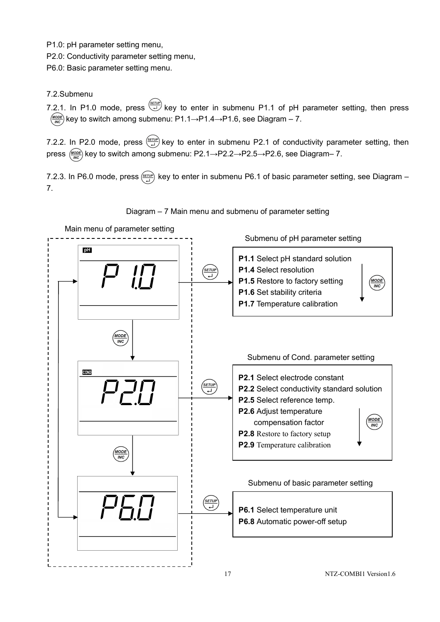P1.0: pH parameter setting menu,

P2.0: Conductivity parameter setting menu,

P6.0: Basic parameter setting menu.

#### 7.2.Submenu

7.2.1. In P1.0 mode, press  $\stackrel{\text{SETUP}}{\longleftrightarrow}$  key to enter in submenu P1.1 of pH parameter setting, then press  $\frac{(\text{MoDE})}{\text{MO}}$  key to switch among submenu: P1.1→P1.4→P1.6, see Diagram – 7.

7.2.2. In P2.0 mode, press  $\frac{6\pi\omega p}{2}$  key to enter in submenu P2.1 of conductivity parameter setting, then press  $\frac{M_{\text{ODE}}}{M_{\text{R}}c}$  key to switch among submenu: P2.1→P2.2→P2.5→P2.6, see Diagram– 7.

7.2.3. In P6.0 mode, press  $\frac{SETUP}{L}$  key to enter in submenu P6.1 of basic parameter setting, see Diagram – 7.



Diagram – 7 Main menu and submenu of parameter setting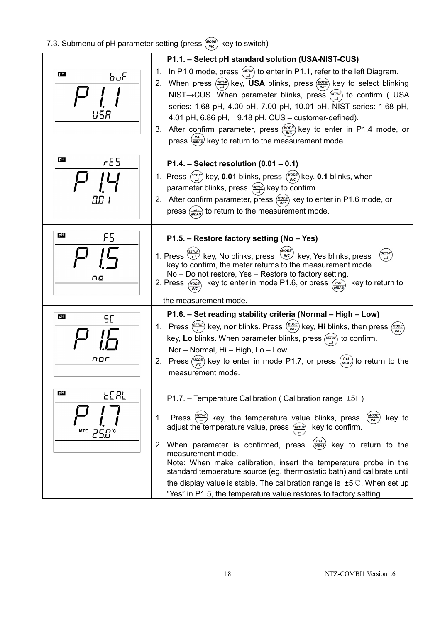# 7.3. Submenu of pH parameter setting (press  $\frac{(MODE)}{MOC}$  key to switch)

|                                                    | P1.1. - Select pH standard solution (USA-NIST-CUS)                                                                                                                                                                                                                                                                                                                                                                                                                                                                                                                                                                                                                                                               |
|----------------------------------------------------|------------------------------------------------------------------------------------------------------------------------------------------------------------------------------------------------------------------------------------------------------------------------------------------------------------------------------------------------------------------------------------------------------------------------------------------------------------------------------------------------------------------------------------------------------------------------------------------------------------------------------------------------------------------------------------------------------------------|
| pH<br>ԽսԲ                                          | 1. In P1.0 mode, press $\frac{(\text{error})}{\sqrt{1-\lambda}}$ to enter in P1.1, refer to the left Diagram.<br>2. When press $\frac{\langle \text{gen} \rangle}{\langle \text{gen} \rangle}$ key, USA blinks, press $\frac{\langle \text{MoDE} \rangle}{\langle \text{MeC} \rangle}$ key to select blinking<br>NIST -> CUS. When parameter blinks, press $\frac{\sqrt{g_{\text{eff}}}}{\sqrt{g}}$ to confirm (USA<br>series: 1,68 pH, 4.00 pH, 7.00 pH, 10.01 pH, NIST series: 1,68 pH,<br>4.01 pH, 6.86 pH, 9.18 pH, CUS - customer-defined).<br>3. After confirm parameter, press $\frac{(MODE)}{(MC)}$ key to enter in P1.4 mode, or<br>press $\frac{(CAL)}{(MEAS)}$ key to return to the measurement mode. |
| pH<br>E5                                           | P1.4. – Select resolution $(0.01 - 0.1)$<br>1. Press $\left(\frac{SETUP}{H}\right)$ key, 0.01 blinks, press $\left(\frac{MODE}{WC}\right)$ key, 0.1 blinks, when<br>parameter blinks, press $\frac{\langle \text{gen} \rangle}{\langle \mu \rangle}$ key to confirm.<br>2. After confirm parameter, press $\frac{(MODE)}{MCO}$ key to enter in P1.6 mode, or<br>press $\frac{CAL}{MEAS}$ to return to the measurement mode.                                                                                                                                                                                                                                                                                      |
| PH<br>FS<br>no                                     | P1.5. - Restore factory setting (No - Yes)<br>1. Press $\overleftrightarrow{c}$ key, No blinks, press $\frac{M_{\text{MODE}}}{M_{\text{NC}}}$ key, Yes blinks, press<br>key to confirm, the meter returns to the measurement mode.<br>No - Do not restore, Yes - Restore to factory setting.<br>2. Press $\frac{MODE}{MLO}$ key to enter in mode P1.6, or press $\frac{CAL}{MFA}$ key to return to<br>the measurement mode.                                                                                                                                                                                                                                                                                      |
| pH<br>5E<br>nor                                    | P1.6. - Set reading stability criteria (Normal - High - Low)<br>1. Press $\frac{\sqrt{genp}}{\sqrt{equation{def}}}}$ key, nor blinks. Press $\frac{\sqrt{modp}}{\sqrt{modp}}$ key, Hi blinks, then press $\frac{\sqrt{modp}}{modp}$<br>key, Lo blinks. When parameter blinks, press $\frac{\langle s\pi\nu\rho\rangle}{\Delta}$ to confirm.<br>Nor - Normal, Hi - High, Lo - Low.<br>2. Press $\frac{(MODE)}{(MDC)}$ key to enter in mode P1.7, or press $\frac{(CAL)}{(MEA)S}$ to return to the<br>measurement mode.                                                                                                                                                                                            |
| pH<br><b>FC HL</b><br>$\text{MTC}$ 25.0 $\text{C}$ | P1.7. – Temperature Calibration (Calibration range $\pm 5\degree$ )<br>Press $\left(\frac{SET}{r}\right)$ key, the temperature value blinks, press<br>$\frac{(MODE)}{(INC)}$<br>1.<br>key to<br>adjust the temperature value, press (SETUP)<br>key to confirm.<br>$\left(\frac{CAL}{MEAS}\right)$ key to return to the<br>2. When parameter is confirmed, press<br>measurement mode.<br>Note: When make calibration, insert the temperature probe in the<br>standard temperature source (eg. thermostatic bath) and calibrate until<br>the display value is stable. The calibration range is $\pm 5^{\circ}$ . When set up<br>"Yes" in P1.5, the temperature value restores to factory setting.                  |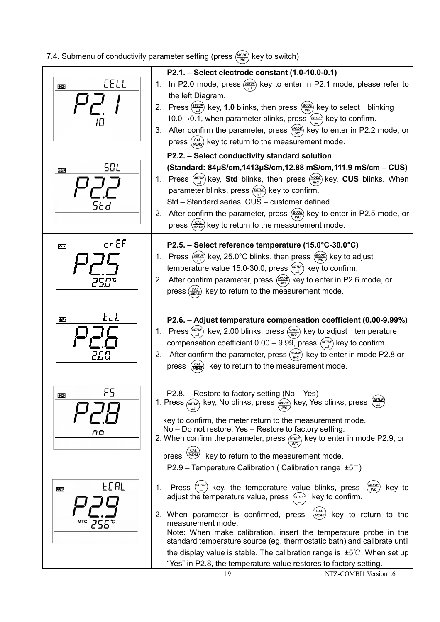# 7.4. Submenu of conductivity parameter setting (press  $\frac{(MODE)}{MOC}$  key to switch)

| <u>[ELL</u><br>COND               | P2.1. - Select electrode constant (1.0-10.0-0.1)<br>1. In P2.0 mode, press $\frac{\text{SETUP}}{\text{H}}$ key to enter in P2.1 mode, please refer to                                                                                                                                                                                                                                                                                                                                                                                                                                                                                                                          |
|-----------------------------------|--------------------------------------------------------------------------------------------------------------------------------------------------------------------------------------------------------------------------------------------------------------------------------------------------------------------------------------------------------------------------------------------------------------------------------------------------------------------------------------------------------------------------------------------------------------------------------------------------------------------------------------------------------------------------------|
|                                   | the left Diagram.<br>2. Press $\left(\frac{\text{SerUP}}{\epsilon\right)$ key, 1.0 blinks, then press $\left(\frac{\text{MoDE}}{\text{MC}}\right)$ key to select blinking<br>10.0→0.1, when parameter blinks, press $\frac{\langle\text{sruv}\rangle}{\langle}$ key to confirm.<br>3. After confirm the parameter, press $\frac{(MODE)}{(MBC)}$ key to enter in P2.2 mode, or<br>press $\left(\frac{CAL}{MEAS}\right)$ key to return to the measurement mode.                                                                                                                                                                                                                  |
|                                   | P2.2. - Select conductivity standard solution                                                                                                                                                                                                                                                                                                                                                                                                                                                                                                                                                                                                                                  |
| 50 L<br>COND<br>SŁd               | (Standard: 84µS/cm,1413µS/cm,12.88 mS/cm,111.9 mS/cm - CUS)<br>1. Press $\frac{\langle \text{gen} \rangle}{\langle \mu \rangle}$ key, <b>Std</b> blinks, then press $\frac{\langle \text{MoDE} \rangle}{\langle \text{MeV} \rangle}$ key, <b>CUS</b> blinks. When<br>parameter blinks, press $\frac{\sqrt{genp}}{\sqrt{1}}$ key to confirm.<br>Std - Standard series, CUS - customer defined.<br>2. After confirm the parameter, press $\frac{(MODE)}{(MDC)}$ key to enter in P2.5 mode, or<br>press $\left(\frac{CAL}{MEAs}\right)$ key to return to the measurement mode.                                                                                                    |
| $\epsilon$ r $\epsilon$ F<br>COND | P2.5. - Select reference temperature (15.0°C-30.0°C)                                                                                                                                                                                                                                                                                                                                                                                                                                                                                                                                                                                                                           |
|                                   | 1. Press $\frac{\text{SETUP}}{\text{H}}$ key, 25.0°C blinks, then press $\frac{\text{MoDE}}{\text{MCC}}$ key to adjust<br>temperature value 15.0-30.0, press $\frac{\text{(s=ruP)}}{\text{vH}}$ key to confirm.<br>2. After confirm parameter, press $\frac{(MODE)}{MDC}$ key to enter in P2.6 mode, or<br>press $\left(\frac{CAL}{MEAs}\right)$ key to return to the measurement mode.                                                                                                                                                                                                                                                                                        |
| FCC<br>COND                       | P2.6. - Adjust temperature compensation coefficient (0.00-9.99%)<br>1. Press $\left(\frac{SET UP}{\epsilon}\right)$ key, 2.00 blinks, press $\left(\frac{MODE}{MC}\right)$ key to adjust temperature<br>compensation coefficient 0.00 – 9.99, press $\frac{\sqrt{\epsilon}r\omega}{\omega}$ key to confirm.<br>2. After confirm the parameter, press $\frac{(MOD)E}{MCO}$ key to enter in mode P2.8 or<br>$\left(\frac{CAL}{ MEAS}\right)$<br>key to return to the measurement mode.<br>press                                                                                                                                                                                  |
| F5<br><b>COND</b><br>no           | $P2.8.$ – Restore to factory setting (No – Yes)<br>1. Press $\frac{\sqrt{5\pi \nu P}}{\sqrt{2}}$ key, No blinks, press $\frac{\sqrt{600E}}{\sqrt{2}}$ key, Yes blinks, press $\frac{\sqrt{5\pi \nu P}}{\sqrt{2}}$<br>key to confirm, the meter return to the measurement mode.<br>No - Do not restore, Yes - Restore to factory setting.<br>2. When confirm the parameter, press $\omega$ key to enter in mode P2.9, or<br><b>CAL</b><br>MEAS)<br>key to return to the measurement mode.<br>press                                                                                                                                                                              |
|                                   | P2.9 – Temperature Calibration (Calibration range $\pm 5\degree$ )                                                                                                                                                                                                                                                                                                                                                                                                                                                                                                                                                                                                             |
| FCHT<br>COND<br>мтс               | Press $\left(\frac{SETUP}{L}\right)$<br>key, the temperature value blinks, press<br>1.<br>key to<br>$_{INC}$<br>adjust the temperature value, press $\frac{\langle \text{serv} \rangle}{\langle \text{ serv} \rangle}$<br>key to confirm.<br>$\left(\frac{CAL}{ MEAS}\right)$<br>2. When parameter is confirmed, press<br>key to return to the<br>measurement mode.<br>Note: When make calibration, insert the temperature probe in the<br>standard temperature source (eg. thermostatic bath) and calibrate until<br>the display value is stable. The calibration range is $\pm 5^{\circ}$ . When set up<br>"Yes" in P2.8, the temperature value restores to factory setting. |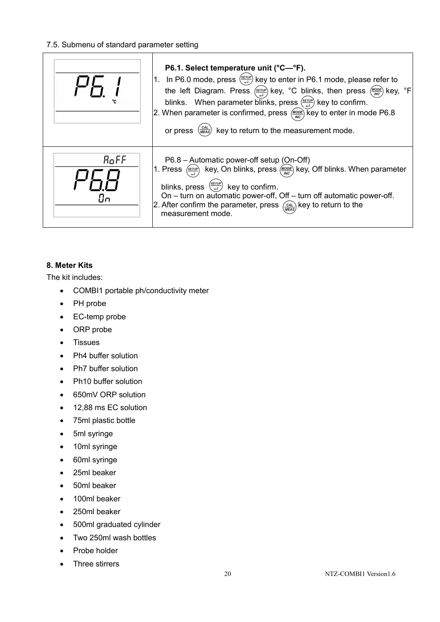#### 7.5. Submenu of standard parameter setting

|            | P6.1. Select temperature unit (°C—°F).<br>1. In P6.0 mode, press $\frac{\sqrt{5\pi r\nu\rho}}{\sqrt{r}}$ key to enter in P6.1 mode, please refer to<br>the left Diagram. Press $\frac{\sqrt{g_{FUV}}}{\Delta}$ key, °C blinks, then press $\frac{\sqrt{g_{ODE}}}{\sqrt{g_{C}}}$ key, °F<br>blinks. When parameter blinks, press $\frac{\sqrt{sruv}}{\sqrt{r}}$ key to confirm.<br>2. When parameter is confirmed, press $\frac{M_{ODE}}{MC}$ key to enter in mode P6.8<br>or press $\frac{(cAL)}{(MEAS)}$ key to return to the measurement mode. |
|------------|--------------------------------------------------------------------------------------------------------------------------------------------------------------------------------------------------------------------------------------------------------------------------------------------------------------------------------------------------------------------------------------------------------------------------------------------------------------------------------------------------------------------------------------------------|
| RoFF<br>Пn | P6.8 - Automatic power-off setup (On-Off)<br>1. Press $\frac{\sqrt{genp}}{\sqrt{equation{def}}}}$ key, On blinks, press $\frac{\sqrt{modp}}{\sqrt{equ}}}$ key, Off blinks. When parameter<br>blinks, press $\left(\frac{SETDP}{\epsilon}\right)$ key to confirm.<br>On - turn on automatic power-off, Off - turn off automatic power-off.<br>2. After confirm the parameter, press $\frac{C_{\text{AL}}}{\text{NEAS}}$ key to return to the<br>measurement mode.                                                                                 |

#### **8. Meter Kits**

The kit includes:

- COMBI1 portable ph/conductivity meter
- PH probe
- EC-temp probe
- ORP probe
- Tissues
- Ph4 buffer solution
- Ph7 buffer solution
- Ph10 buffer solution
- 650mV ORP solution
- 12,88 ms EC solution
- 75ml plastic bottle
- 5ml syringe
- 10ml syringe
- 60ml syringe
- 25ml beaker
- 50ml beaker
- 100ml beaker
- 250ml beaker
- 500ml graduated cylinder
- Two 250ml wash bottles
- Probe holder
- Three stirrers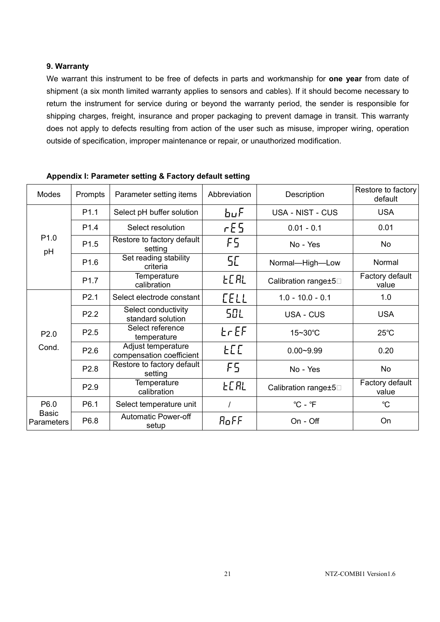#### **9. Warranty**

We warrant this instrument to be free of defects in parts and workmanship for **one year** from date of shipment (a six month limited warranty applies to sensors and cables). If it should become necessary to return the instrument for service during or beyond the warranty period, the sender is responsible for shipping charges, freight, insurance and proper packaging to prevent damage in transit. This warranty does not apply to defects resulting from action of the user such as misuse, improper wiring, operation outside of specification, improper maintenance or repair, or unauthorized modification.

| <b>Modes</b>                              | Prompts          | Parameter setting items                        | Abbreviation | Description                 | Restore to factory<br>default |
|-------------------------------------------|------------------|------------------------------------------------|--------------|-----------------------------|-------------------------------|
| P <sub>1.0</sub><br>pH                    | P <sub>1.1</sub> | Select pH buffer solution                      | $b\mu F$     | USA - NIST - CUS            | <b>USA</b>                    |
|                                           | P <sub>1.4</sub> | Select resolution                              | rES          | $0.01 - 0.1$                | 0.01                          |
|                                           | P <sub>1.5</sub> | Restore to factory default<br>setting          | F5           | No - Yes                    | N <sub>o</sub>                |
|                                           | P <sub>1.6</sub> | Set reading stability<br>criteria              | SE.          | Normal-High-Low             | Normal                        |
|                                           | P <sub>1.7</sub> | Temperature<br>calibration                     | <b>LEAL</b>  | Calibration range±5         | Factory default<br>value      |
| P <sub>2.0</sub><br>Cond.                 | P <sub>2.1</sub> | Select electrode constant                      | <b>CELL</b>  | $1.0 - 10.0 - 0.1$          | 1.0                           |
|                                           | P <sub>2.2</sub> | Select conductivity<br>standard solution       | 50 L         | <b>USA - CUS</b>            | <b>USA</b>                    |
|                                           | P <sub>2.5</sub> | Select reference<br>temperature                | $E \cap EF$  | 15~30°C                     | $25^{\circ}$ C                |
|                                           | P <sub>2.6</sub> | Adjust temperature<br>compensation coefficient | FL L         | $0.00 - 9.99$               | 0.20                          |
|                                           | P2.8             | Restore to factory default<br>setting          | F5.          | No - Yes                    | <b>No</b>                     |
|                                           | P2.9             | <b>Temperature</b><br>calibration              | <b>LEAL</b>  | Calibration range±5         | Factory default<br>value      |
| P6.0<br><b>Basic</b><br><b>Parameters</b> | P <sub>6.1</sub> | Select temperature unit                        |              | $^{\circ}$ C - $^{\circ}$ F | $^{\circ}C$                   |
|                                           | P6.8             | <b>Automatic Power-off</b><br>setup            | RoFF         | On - Off                    | On                            |

**Appendix I: Parameter setting & Factory default setting**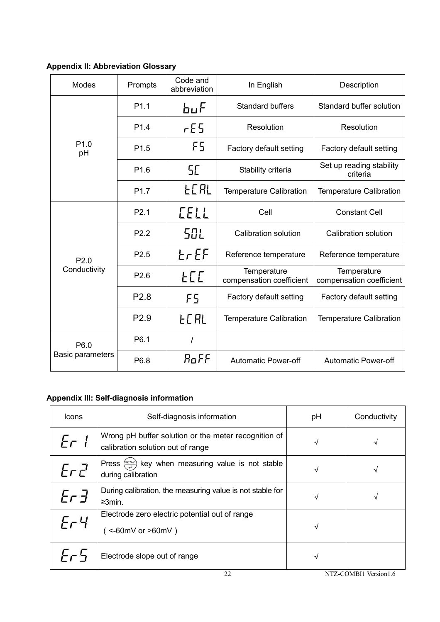# **Appendix II: Abbreviation Glossary**

| Modes                           | Prompts          | Code and<br>abbreviation | In English                              | Description                             |
|---------------------------------|------------------|--------------------------|-----------------------------------------|-----------------------------------------|
|                                 | P <sub>1.1</sub> | $b\mu F$                 | <b>Standard buffers</b>                 | Standard buffer solution                |
|                                 | P <sub>1.4</sub> | rES<br>Resolution        |                                         | Resolution                              |
| P <sub>1.0</sub><br>pH          | P <sub>1.5</sub> | F5                       | Factory default setting                 | Factory default setting                 |
|                                 | P <sub>1.6</sub> | 5E                       | Stability criteria                      | Set up reading stability<br>criteria    |
|                                 | P <sub>1.7</sub> | FC HT                    | <b>Temperature Calibration</b>          | <b>Temperature Calibration</b>          |
|                                 | P <sub>2.1</sub> | <b>LELL</b>              | Cell                                    | <b>Constant Cell</b>                    |
|                                 | P <sub>2.2</sub> | SOL                      | Calibration solution                    | Calibration solution                    |
| P2.0                            | P <sub>2.5</sub> | $E \cap EF$              | Reference temperature                   | Reference temperature                   |
| Conductivity                    | P <sub>2.6</sub> | FLL                      | Temperature<br>compensation coefficient | Temperature<br>compensation coefficient |
|                                 | P <sub>2.8</sub> | F5                       | Factory default setting                 | Factory default setting                 |
|                                 | P2.9             | FC HL                    | <b>Temperature Calibration</b>          | <b>Temperature Calibration</b>          |
| P6.0<br><b>Basic parameters</b> | P6.1             | I                        |                                         |                                         |
|                                 | P6.8             | RoFF                     | <b>Automatic Power-off</b>              | <b>Automatic Power-off</b>              |

# **Appendix III: Self-diagnosis information**

| Icons   | Self-diagnosis information                                                                           | рH | Conductivity |
|---------|------------------------------------------------------------------------------------------------------|----|--------------|
| Er I    | Wrong pH buffer solution or the meter recognition of<br>calibration solution out of range            | √  | √            |
| ErZ     | key when measuring value is not stable<br>Press $\left(\frac{SETUP}{1}\right)$<br>during calibration | √  | √            |
| Er 3    | During calibration, the measuring value is not stable for<br>$\geq 3$ min.                           | √  | √            |
| $E - 4$ | Electrode zero electric potential out of range<br>$($ <-60mV or >60mV)                               | √  |              |
| Fr 5    | Electrode slope out of range                                                                         | √  |              |